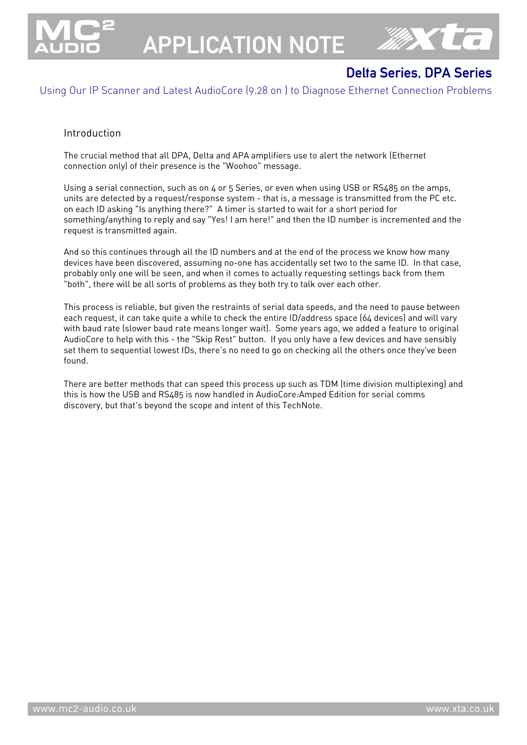

# APPLICATION NOTE



# Delta Series, DPA Series

Using Our IP Scanner and Latest AudioCore (9.28 on ) to Diagnose Ethernet Connection Problems

#### Introduction

The crucial method that all DPA, Delta and APA amplifiers use to alert the network (Ethernet connection only) of their presence is the "Woohoo" message.

Using a serial connection, such as on 4 or 5 Series, or even when using USB or RS485 on the amps, units are detected by a request/response system - that is, a message is transmitted from the PC etc. on each ID asking "Is anything there?" A timer is started to wait for a short period for something/anything to reply and say "Yes! I am here!" and then the ID number is incremented and the request is transmitted again.

And so this continues through all the ID numbers and at the end of the process we know how many devices have been discovered, assuming no-one has accidentally set two to the same ID. In that case, probably only one will be seen, and when it comes to actually requesting settings back from them "both", there will be all sorts of problems as they both try to talk over each other.

This process is reliable, but given the restraints of serial data speeds, and the need to pause between each request, it can take quite a while to check the entire ID/address space (64 devices) and will vary with baud rate (slower baud rate means longer wait). Some years ago, we added a feature to original AudioCore to help with this - the "Skip Rest" button. If you only have a few devices and have sensibly set them to sequential lowest IDs, there's no need to go on checking all the others once they've been found.

There are better methods that can speed this process up such as TDM (time division multiplexing) and this is how the USB and RS485 is now handled in AudioCore:Amped Edition for serial comms discovery, but that's beyond the scope and intent of this TechNote.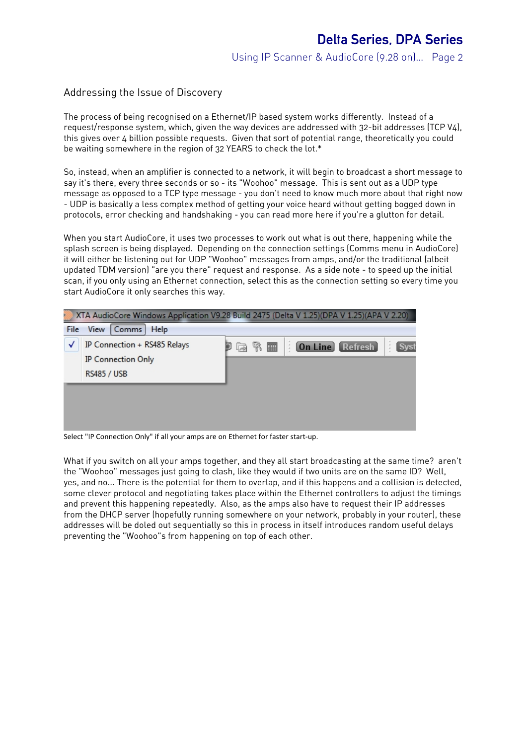#### Addressing the Issue of Discovery

The process of being recognised on a Ethernet/IP based system works differently. Instead of a request/response system, which, given the way devices are addressed with 32-bit addresses (TCP V4), this gives over 4 billion possible requests. Given that sort of potential range, theoretically you could be waiting somewhere in the region of 32 YEARS to check the lot.\*

So, instead, when an amplifier is connected to a network, it will begin to broadcast a short message to say it's there, every three seconds or so - its "Woohoo" message. This is sent out as a UDP type message as opposed to a TCP type message - you don't need to know much more about that right now - UDP is basically a less complex method of getting your voice heard without getting bogged down in protocols, error checking and handshaking - you can read more here if you're a glutton for detail.

When you start AudioCore, it uses two processes to work out what is out there, happening while the splash screen is being displayed. Depending on the connection settings (Comms menu in AudioCore) it will either be listening out for UDP "Woohoo" messages from amps, and/or the traditional (albeit updated TDM version) "are you there" request and response. As a side note - to speed up the initial scan, if you only using an Ethernet connection, select this as the connection setting so every time you start AudioCore it only searches this way.

|      | XTA AudioCore Windows Application V9.28 Build 2475 (Delta V 1.25)(DPA V 1.25)(APA V 2.20) |    |   |             |   |                |           |  |
|------|-------------------------------------------------------------------------------------------|----|---|-------------|---|----------------|-----------|--|
| File | Comms<br>View<br>Help                                                                     |    |   |             |   |                |           |  |
| √    | IP Connection + RS485 Relays                                                              | 42 | R | <b>Fill</b> | ă | <b>On Line</b> | [Refresh] |  |
|      | <b>IP Connection Only</b>                                                                 |    |   |             |   |                |           |  |
|      | <b>RS485 / USB</b>                                                                        |    |   |             |   |                |           |  |
|      |                                                                                           |    |   |             |   |                |           |  |
|      |                                                                                           |    |   |             |   |                |           |  |
|      |                                                                                           |    |   |             |   |                |           |  |

Select "IP Connection Only" if all your amps are on Ethernet for faster start-up.

What if you switch on all your amps together, and they all start broadcasting at the same time? aren't the "Woohoo" messages just going to clash, like they would if two units are on the same ID? Well, yes, and no... There is the potential for them to overlap, and if this happens and a collision is detected, some clever protocol and negotiating takes place within the Ethernet controllers to adjust the timings and prevent this happening repeatedly. Also, as the amps also have to request their IP addresses from the DHCP server (hopefully running somewhere on your network, probably in your router), these addresses will be doled out sequentially so this in process in itself introduces random useful delays preventing the "Woohoo"s from happening on top of each other.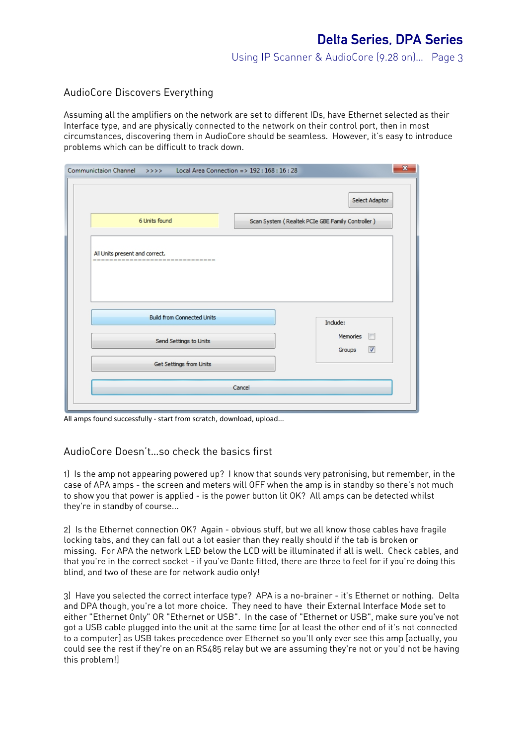## AudioCore Discovers Everything

Assuming all the amplifiers on the network are set to different IDs, have Ethernet selected as their Interface type, and are physically connected to the network on their control port, then in most circumstances, discovering them in AudioCore should be seamless. However, it's easy to introduce problems which can be difficult to track down.

| Communictaion Channel >>>> Local Area Connection => 192 : 168 : 16 : 28 | $\overline{\mathbf{x}}$                          |
|-------------------------------------------------------------------------|--------------------------------------------------|
|                                                                         | Select Adaptor                                   |
| 6 Units found                                                           | Scan System (Realtek PCIe GBE Family Controller) |
| All Units present and correct.<br>-------------------------------       |                                                  |
| <b>Build from Connected Units</b>                                       | Include:                                         |
| Send Settings to Units                                                  | <b>Memories</b><br>⊽<br>Groups                   |
| Get Settings from Units                                                 |                                                  |
|                                                                         | Cancel                                           |
|                                                                         |                                                  |

All amps found successfully - start from scratch, download, upload...

## AudioCore Doesn't…so check the basics first

1) Is the amp not appearing powered up? I know that sounds very patronising, but remember, in the case of APA amps - the screen and meters will OFF when the amp is in standby so there's not much to show you that power is applied - is the power button lit OK? All amps can be detected whilst they're in standby of course...

2) Is the Ethernet connection OK? Again - obvious stuff, but we all know those cables have fragile locking tabs, and they can fall out a lot easier than they really should if the tab is broken or missing. For APA the network LED below the LCD will be illuminated if all is well. Check cables, and that you're in the correct socket - if you've Dante fitted, there are three to feel for if you're doing this blind, and two of these are for network audio only!

3) Have you selected the correct interface type? APA is a no-brainer - it's Ethernet or nothing. Delta and DPA though, you're a lot more choice. They need to have their External Interface Mode set to either "Ethernet Only" OR "Ethernet or USB". In the case of "Ethernet or USB", make sure you've not got a USB cable plugged into the unit at the same time [or at least the other end of it's not connected to a computer] as USB takes precedence over Ethernet so you'll only ever see this amp [actually, you could see the rest if they're on an RS485 relay but we are assuming they're not or you'd not be having this problem!]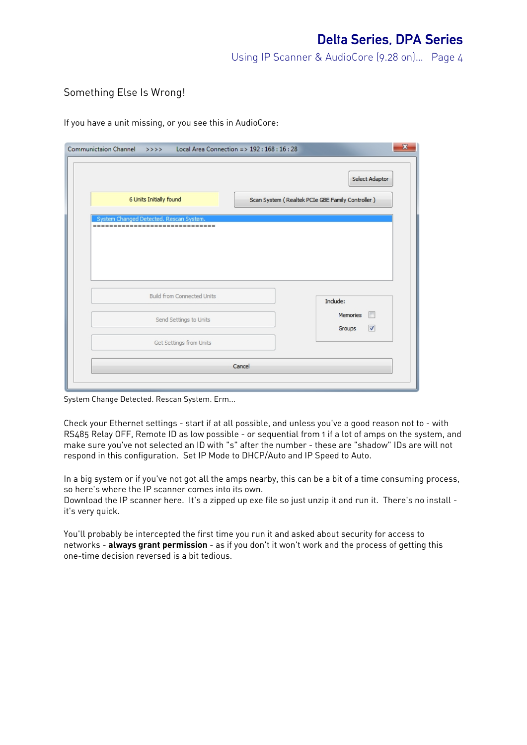## Something Else Is Wrong!

If you have a unit missing, or you see this in AudioCore:

| Communictaion Channel >>>> Local Area Connection => 192 : 168 : 16 : 28 | $\mathbf{x}$                                                       |
|-------------------------------------------------------------------------|--------------------------------------------------------------------|
| 6 Units Initially found                                                 | Select Adaptor<br>Scan System (Realtek PCIe GBE Family Controller) |
| System Changed Detected. Rescan System.<br>$=$ $=$ $=$                  |                                                                    |
| Build from Connected Units                                              | Include:<br>F<br><b>Memories</b>                                   |
| Send Settings to Units<br>Get Settings from Units                       | $\overline{\mathbf{v}}$<br>Groups                                  |
|                                                                         | Cancel                                                             |

System Change Detected. Rescan System. Erm...

Check your Ethernet settings - start if at all possible, and unless you've a good reason not to - with RS485 Relay OFF, Remote ID as low possible - or sequential from 1 if a lot of amps on the system, and make sure you've not selected an ID with "s" after the number - these are "shadow" IDs are will not respond in this configuration. Set IP Mode to DHCP/Auto and IP Speed to Auto.

In a big system or if you've not got all the amps nearby, this can be a bit of a time consuming process, so here's where the IP scanner comes into its own.

Download the IP scanner here. It's a zipped up exe file so just unzip it and run it. There's no install it's very quick.

You'll probably be intercepted the first time you run it and asked about security for access to networks - **always grant permission** - as if you don't it won't work and the process of getting this one-time decision reversed is a bit tedious.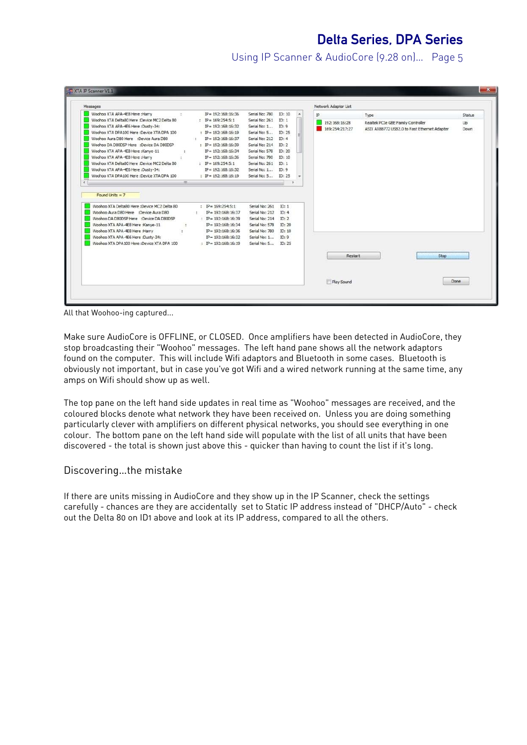# Delta Series, DPA Series

Using IP Scanner & AudioCore (9.28 on)… Page 5

| Messages                                                                                                                                                                                                                                                                                                                                                                                                                                                                                          |    |                                                                                                                                                                                                                                                                                       |                                                                                                                                                                                                   |                                                                                            |   |    | Network Adaptor List            |                                                                                            |                             |
|---------------------------------------------------------------------------------------------------------------------------------------------------------------------------------------------------------------------------------------------------------------------------------------------------------------------------------------------------------------------------------------------------------------------------------------------------------------------------------------------------|----|---------------------------------------------------------------------------------------------------------------------------------------------------------------------------------------------------------------------------------------------------------------------------------------|---------------------------------------------------------------------------------------------------------------------------------------------------------------------------------------------------|--------------------------------------------------------------------------------------------|---|----|---------------------------------|--------------------------------------------------------------------------------------------|-----------------------------|
| Woohoo XTA APA-4E8 Here :Harry<br>(2)<br>Woohoo XTA Delta80 Here :Device MC2 Delta 80<br>Woohoo XTA APA-4E6 Here :Dusty-34:<br>Woohoo XTA DPA 100 Here :Device XTA DPA 100<br>Woohoo Aura D80 Here :Device Aura D80<br>Woohoo DA D80DSP Here :Device DA D80DSP<br>Woohoo XTA APA-4E8 Here :Kanye-11<br>$\cdot$ 1.<br>Woohoo XTA APA-4E8 Here :Harry<br>$\sim$<br>Woohoo XTA Delta80 Here :Device MC2 Delta 80<br>Woohoo XTA APA-4E6 Here :Dusty-34:<br>Woohoo XTA DPA100 Here :Device XTA DPA 100 | m. | $IP = 192:168:16:36$<br>: IP = $169:254:5:1$<br>$IP = 192:168:16:32$<br>: IP = $192:168:16:19$<br>$IP = 192:168:16:37$<br>$\cdot$<br>: IP = $192:168:16:39$<br>$IP = 192:168:16:34$<br>$IP = 192:168:16:36$<br>: IP = $169:254:5:1$<br>$IP = 192:168:16:32$<br>: IP = $192:168:16:19$ | Serial No: 780<br>Serial No: 261<br>Serial No: 1<br>Serial No: 5<br>Serial No: 212<br>Serial No: 214<br>Serial No: 578<br>Serial No: 780<br>Serial No: 261<br>Serial No: 1<br>Serial No: 5 ID: 25 | ID: 10<br>ID: 1<br>ID: 9<br>ID: 25<br>ID: 4<br>ID: 2<br>ID: 20<br>ID: 10<br>ID: 1<br>ID: 9 | ۰ | IP | 192:168:16:28<br>169:254:217:27 | Type<br>Realtek PCIe GBE Family Controller<br>ASIX AX88772 USB2.0 to Fast Ethernet Adapter | Status<br>Up<br><b>Down</b> |
| Found Units = 7<br>Woohoo XTA Delta80 Here :Device MC2 Delta 80<br>Woohoo Aura D80 Here :Device Aura D80<br>Woohoo DA D80DSP Here :Device DA D80DSP<br>Woohoo XTA APA-4E8 Here :Kanye-11<br>Woohoo XTA APA-4E8 Here :Harry<br>Woohoo XTA APA-4E6 Here :Dusty-34:<br>Woohoo XTA DPA100 Here :Device XTA DPA 100                                                                                                                                                                                    |    | : IP = $169:254:5:1$<br>$IP = 192:168:16:37$<br>: $IP = 192:168:16:39$<br>$IP = 192:168:16:34$<br>$IP = 192:168:16:36$<br>$IP = 192:168:16:32$<br>$;$ IP= 192:168:16:19                                                                                                               | Serial No: 261<br>Serial No: 212<br>Serial No: 214<br>Serial No: 578<br>Serial No: 780<br>Serial No: 1<br>Serial No: 5 ID: 25                                                                     | ID: 1<br>ID: 4<br>ID: 2<br>ID: 20<br>ID: 10<br>ID: 9                                       |   |    | Restart                         | Stop                                                                                       |                             |

All that Woohoo-ing captured...

Make sure AudioCore is OFFLINE, or CLOSED. Once amplifiers have been detected in AudioCore, they stop broadcasting their "Woohoo" messages. The left hand pane shows all the network adaptors found on the computer. This will include Wifi adaptors and Bluetooth in some cases. Bluetooth is obviously not important, but in case you've got Wifi and a wired network running at the same time, any amps on Wifi should show up as well.

The top pane on the left hand side updates in real time as "Woohoo" messages are received, and the coloured blocks denote what network they have been received on. Unless you are doing something particularly clever with amplifiers on different physical networks, you should see everything in one colour. The bottom pane on the left hand side will populate with the list of all units that have been discovered - the total is shown just above this - quicker than having to count the list if it's long.

#### Discovering…the mistake

If there are units missing in AudioCore and they show up in the IP Scanner, check the settings carefully - chances are they are accidentally set to Static IP address instead of "DHCP/Auto" - check out the Delta 80 on ID1 above and look at its IP address, compared to all the others.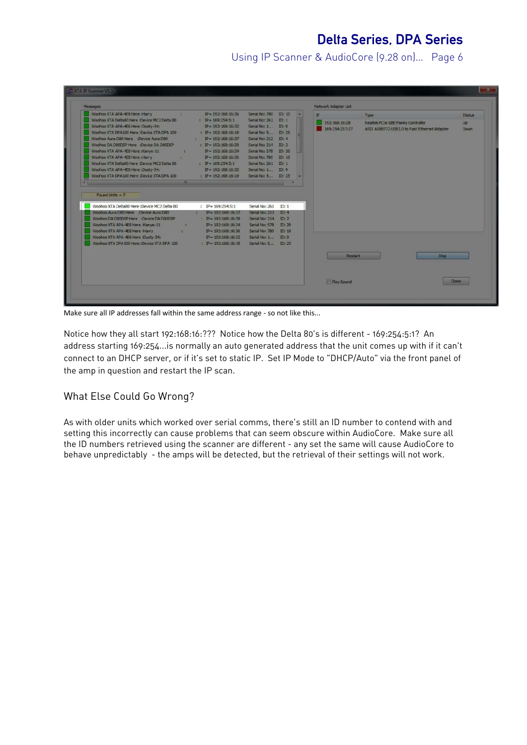# Delta Series, DPA Series

Using IP Scanner & AudioCore (9.28 on)… Page 6

| Woohoo XTA APA-4E8 Here :Harry                                                                                                                                                                                                                                                                                                                                                                                                                       |                                                                  |                                                                                                                                                                                                                                                                                                   |                                                                                                                                                                                                                                                                   |  | Network Adaptor List                         |                                                                                            |                                           |
|------------------------------------------------------------------------------------------------------------------------------------------------------------------------------------------------------------------------------------------------------------------------------------------------------------------------------------------------------------------------------------------------------------------------------------------------------|------------------------------------------------------------------|---------------------------------------------------------------------------------------------------------------------------------------------------------------------------------------------------------------------------------------------------------------------------------------------------|-------------------------------------------------------------------------------------------------------------------------------------------------------------------------------------------------------------------------------------------------------------------|--|----------------------------------------------|--------------------------------------------------------------------------------------------|-------------------------------------------|
| Woohoo XTA Delta80 Here :Device MC2 Delta 80<br>Woohoo XTA APA-4E6 Here :Dusty-34:<br>Woohoo XTA DPA 100 Here :Device XTA DPA 100<br>Woohoo Aura D80 Here :Device Aura D80<br>Woohoo DA D80D5P Here :Device DA D80D5P<br>Woohoo XTA APA-4E8 Here :Kanye-11<br>Woohoo XTA APA-4E8 Here :Harry<br>Woohoo XTA Delta80 Here :Device MC2 Delta 80<br>Woohoo XTA APA-4E6 Here :Dusty-34:<br>Woohoo XTA DPA 100 Here :Device XTA DPA 100<br>Found Units = 7 | <b>SEC</b><br><b>Contract Contract</b><br><b>Contract Street</b> | $IP = 192:168:16:36$<br>$IP = 169:254:5:1$<br>$IP = 192:168:16:32$<br>: IP = $192:168:16:19$<br>$IP = 192:168:16:37$<br>$IP = 192:168:16:39$<br>$IP = 192:168:16:34$<br>$IP = 192:168:16:36$<br>$IP = 169:254:5:1$<br>$IP = 192:168:16:32$<br>$P = 192:168:16:19$<br>and the contract of the con- | Serial No: 780 ID: 10<br>Serial No: 261 ID: 1<br>Serial No: 1 ID: 9<br>Serial No: 5 ID: 25<br>Serial No: 212 ID: 4<br>Serial No: 214 ID: 2<br>Serial No: 578 ID: 20<br>Serial No: 780 ID: 10<br>Serial No: 261 ID: 1<br>Serial No: 1 ID: 9<br>Serial No: 5 ID: 25 |  | <b>IP</b><br>192:168:16:28<br>169:254:217:27 | Type<br>Realtek PCIe GBE Family Controller<br>ASIX AX88772 USB2.0 to Fast Ethernet Adapter | <b>Status</b><br><b>Up</b><br><b>Down</b> |
| Woohoo XTA Delta80 Here :Device MC2 Delta 80<br>Woohoo Aura D80 Here :Device Aura D80<br>Woohoo DA D80DSP Here :Device DA D80DSP<br>Woohoo XTA APA-4E8 Here :Kanye-11<br>Woohoo XTA APA-E8 Here :Harry<br>Woohoo XTA APA-E6 Here :Dusty-34:<br>Woohoo XTA DPA 100 Here :Device XTA DPA 100                                                                                                                                                           | $-2$<br><b>Service State</b>                                     | : IP= $169:254:5:1$<br>$IP = 192:168:16:37$<br><b>British</b><br>: $IP = 192:168:16:39$<br>$IP = 192:168:16:34$<br>$IP = 192:168:16:36$<br>$IP = 192:168:16:32$<br>$: IP = 192:168:16:19$                                                                                                         | Serial No: 261 ID: 1<br>Senal No: 212 ID: 4<br>Serial No: 214 ID: 2<br>Serial No: 578 ID: 20<br>Serial No: 780 ID: 10<br>Serial No: 1 ID: 9<br>Serial No: 5 ID: 25                                                                                                |  | Restart                                      | <b>Stop</b>                                                                                |                                           |

Make sure all IP addresses fall within the same address range - so not like this...

Notice how they all start 192:168:16:??? Notice how the Delta 80's is different - 169:254:5:1? An address starting 169:254...is normally an auto generated address that the unit comes up with if it can't connect to an DHCP server, or if it's set to static IP. Set IP Mode to "DHCP/Auto" via the front panel of the amp in question and restart the IP scan.

## What Else Could Go Wrong?

As with older units which worked over serial comms, there's still an ID number to contend with and setting this incorrectly can cause problems that can seem obscure within AudioCore. Make sure all the ID numbers retrieved using the scanner are different - any set the same will cause AudioCore to behave unpredictably - the amps will be detected, but the retrieval of their settings will not work.